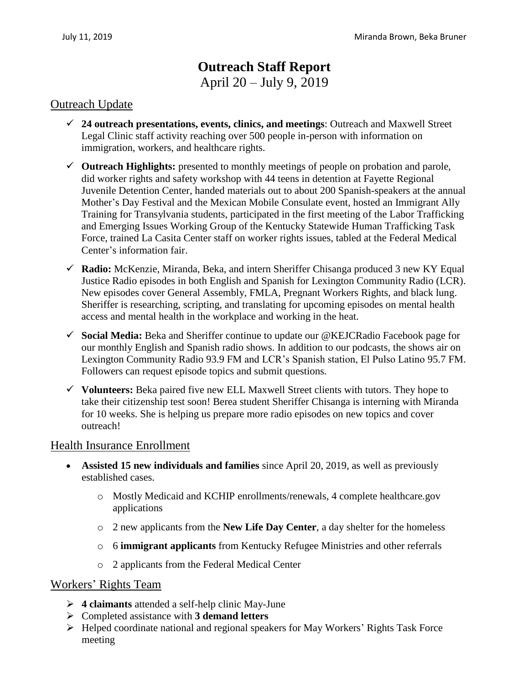# **Outreach Staff Report** April 20 – July 9, 2019

### Outreach Update

- **24 outreach presentations, events, clinics, and meetings**: Outreach and Maxwell Street Legal Clinic staff activity reaching over 500 people in-person with information on immigration, workers, and healthcare rights.
- **Outreach Highlights:** presented to monthly meetings of people on probation and parole, did worker rights and safety workshop with 44 teens in detention at Fayette Regional Juvenile Detention Center, handed materials out to about 200 Spanish-speakers at the annual Mother's Day Festival and the Mexican Mobile Consulate event, hosted an Immigrant Ally Training for Transylvania students, participated in the first meeting of the Labor Trafficking and Emerging Issues Working Group of the Kentucky Statewide Human Trafficking Task Force, trained La Casita Center staff on worker rights issues, tabled at the Federal Medical Center's information fair.
- **Radio:** McKenzie, Miranda, Beka, and intern Sheriffer Chisanga produced 3 new KY Equal Justice Radio episodes in both English and Spanish for Lexington Community Radio (LCR). New episodes cover General Assembly, FMLA, Pregnant Workers Rights, and black lung. Sheriffer is researching, scripting, and translating for upcoming episodes on mental health access and mental health in the workplace and working in the heat.
- **Social Media:** Beka and Sheriffer continue to update our @KEJCRadio Facebook page for our monthly English and Spanish radio shows. In addition to our podcasts, the shows air on Lexington Community Radio 93.9 FM and LCR's Spanish station, El Pulso Latino 95.7 FM. Followers can request episode topics and submit questions.
- $\checkmark$  Volunteers: Beka paired five new ELL Maxwell Street clients with tutors. They hope to take their citizenship test soon! Berea student Sheriffer Chisanga is interning with Miranda for 10 weeks. She is helping us prepare more radio episodes on new topics and cover outreach!

#### Health Insurance Enrollment

- **Assisted 15 new individuals and families** since April 20, 2019, as well as previously established cases.
	- o Mostly Medicaid and KCHIP enrollments/renewals, 4 complete healthcare.gov applications
	- o 2 new applicants from the **New Life Day Center**, a day shelter for the homeless
	- o 6 **immigrant applicants** from Kentucky Refugee Ministries and other referrals
	- o 2 applicants from the Federal Medical Center

#### Workers' Rights Team

- **4 claimants** attended a self-help clinic May-June
- Completed assistance with **3 demand letters**
- Helped coordinate national and regional speakers for May Workers' Rights Task Force meeting